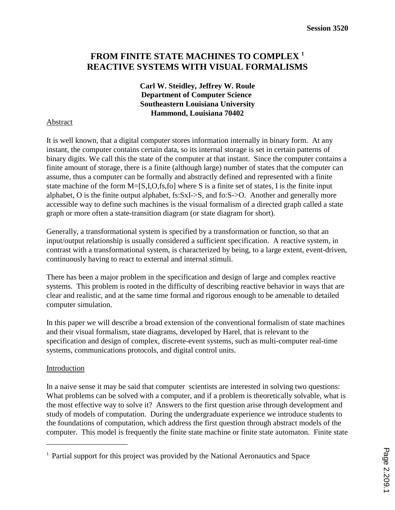# **FROM FINITE STATE MACHINES TO COMPLEX 1 REACTIVE SYSTEMS WITH VISUAL FORMALISMS**

**Carl W. Steidley, Jeffrey W. Roule Department of Computer Science Southeastern Louisiana University Hammond, Louisiana 70402**

## Abstract

It is well known, that a digital computer stores information internally in binary form. At any instant, the computer contains certain data, so its internal storage is set in certain patterns of binary digits. We call this the state of the computer at that instant. Since the computer contains a finite amount of storage, there is a finite (although large) number of states that the computer can assume, thus a computer can be formally and abstractly defined and represented with a finite state machine of the form M=[S,I,O,fs,fo] where S is a finite set of states, I is the finite input alphabet, O is the finite output alphabet, fs:SxI->S, and fo:S->O. Another and generally more accessible way to define such machines is the visual formalism of a directed graph called a state graph or more often a state-transition diagram (or state diagram for short).

Generally, a transformational system is specified by a transformation or function, so that an input/output relationship is usually considered a sufficient specification. A reactive system, in contrast with a transformational system, is characterized by being, to a large extent, event-driven, continuously having to react to external and internal stimuli.

There has been a major problem in the specification and design of large and complex reactive systems. This problem is rooted in the difficulty of describing reactive behavior in ways that are clear and realistic, and at the same time formal and rigorous enough to be amenable to detailed computer simulation.

In this paper we will describe a broad extension of the conventional formalism of state machines and their visual formalism, state diagrams, developed by Harel, that is relevant to the specification and design of complex, discrete-event systems, such as multi-computer real-time systems, communications protocols, and digital control units.

#### **Introduction**

\_\_\_\_\_\_\_\_\_\_\_\_\_\_\_\_\_\_\_\_\_

In a naive sense it may be said that computer scientists are interested in solving two questions: What problems can be solved with a computer, and if a problem is theoretically solvable, what is the most effective way to solve it? Answers to the first question arise through development and study of models of computation. During the undergraduate experience we introduce students to the foundations of computation, which address the first question through abstract models of the computer. This model is frequently the finite state machine or finite state automaton. Finite state

 $<sup>1</sup>$  Partial support for this project was provided by the National Aeronautics and Space</sup>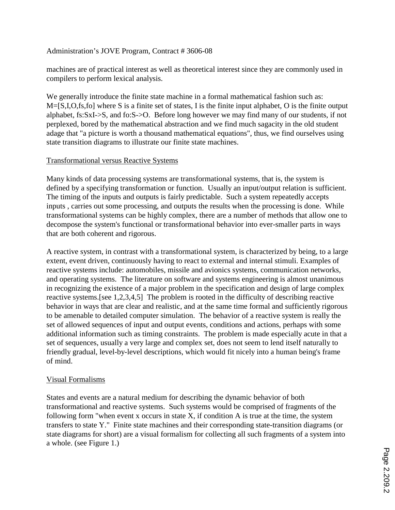# Administration's JOVE Program, Contract # 3606-08

machines are of practical interest as well as theoretical interest since they are commonly used in compilers to perform lexical analysis.

We generally introduce the finite state machine in a formal mathematical fashion such as: M=[S,I,O,fs,fo] where S is a finite set of states, I is the finite input alphabet, O is the finite output alphabet, fs:SxI->S, and fo:S->O. Before long however we may find many of our students, if not perplexed, bored by the mathematical abstraction and we find much sagacity in the old student adage that "a picture is worth a thousand mathematical equations", thus, we find ourselves using state transition diagrams to illustrate our finite state machines.

## Transformational versus Reactive Systems

Many kinds of data processing systems are transformational systems, that is, the system is defined by a specifying transformation or function. Usually an input/output relation is sufficient. The timing of the inputs and outputs is fairly predictable. Such a system repeatedly accepts inputs , carries out some processing, and outputs the results when the processing is done. While transformational systems can be highly complex, there are a number of methods that allow one to decompose the system's functional or transformational behavior into ever-smaller parts in ways that are both coherent and rigorous.

A reactive system, in contrast with a transformational system, is characterized by being, to a large extent, event driven, continuously having to react to external and internal stimuli. Examples of reactive systems include: automobiles, missile and avionics systems, communication networks, and operating systems. The literature on software and systems engineering is almost unanimous in recognizing the existence of a major problem in the specification and design of large complex reactive systems.[see 1,2,3,4,5] The problem is rooted in the difficulty of describing reactive behavior in ways that are clear and realistic, and at the same time formal and sufficiently rigorous to be amenable to detailed computer simulation. The behavior of a reactive system is really the set of allowed sequences of input and output events, conditions and actions, perhaps with some additional information such as timing constraints. The problem is made especially acute in that a set of sequences, usually a very large and complex set, does not seem to lend itself naturally to friendly gradual, level-by-level descriptions, which would fit nicely into a human being's frame of mind.

# Visual Formalisms

States and events are a natural medium for describing the dynamic behavior of both transformational and reactive systems. Such systems would be comprised of fragments of the following form "when event x occurs in state  $X$ , if condition A is true at the time, the system transfers to state Y." Finite state machines and their corresponding state-transition diagrams (or state diagrams for short) are a visual formalism for collecting all such fragments of a system into a whole. (see Figure 1.)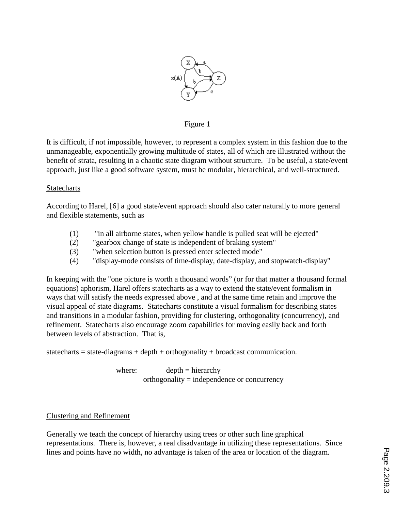

#### Figure 1

It is difficult, if not impossible, however, to represent a complex system in this fashion due to the unmanageable, exponentially growing multitude of states, all of which are illustrated without the benefit of strata, resulting in a chaotic state diagram without structure. To be useful, a state/event approach, just like a good software system, must be modular, hierarchical, and well-structured.

#### Statecharts

According to Harel, [6] a good state/event approach should also cater naturally to more general and flexible statements, such as

- (1) "in all airborne states, when yellow handle is pulled seat will be ejected"
- (2) "gearbox change of state is independent of braking system"
- (3) "when selection button is pressed enter selected mode"
- (4) "display-mode consists of time-display, date-display, and stopwatch-display"

In keeping with the "one picture is worth a thousand words" (or for that matter a thousand formal equations) aphorism, Harel offers statecharts as a way to extend the state/event formalism in ways that will satisfy the needs expressed above , and at the same time retain and improve the visual appeal of state diagrams. Statecharts constitute a visual formalism for describing states and transitions in a modular fashion, providing for clustering, orthogonality (concurrency), and refinement. Statecharts also encourage zoom capabilities for moving easily back and forth between levels of abstraction. That is,

statecharts = state-diagrams + depth + orthogonality + broadcast communication.

where:  $depth = hierarchy$ orthogonality = independence or concurrency

#### Clustering and Refinement

Generally we teach the concept of hierarchy using trees or other such line graphical representations. There is, however, a real disadvantage in utilizing these representations. Since lines and points have no width, no advantage is taken of the area or location of the diagram.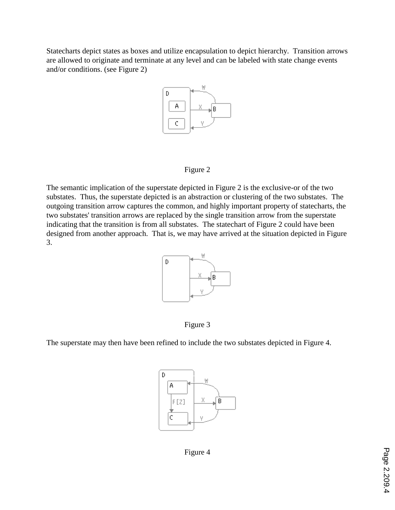Statecharts depict states as boxes and utilize encapsulation to depict hierarchy. Transition arrows are allowed to originate and terminate at any level and can be labeled with state change events and/or conditions. (see Figure 2)



#### Figure 2

The semantic implication of the superstate depicted in Figure 2 is the exclusive-or of the two substates. Thus, the superstate depicted is an abstraction or clustering of the two substates. The outgoing transition arrow captures the common, and highly important property of statecharts, the two substates' transition arrows are replaced by the single transition arrow from the superstate indicating that the transition is from all substates. The statechart of Figure 2 could have been designed from another approach. That is, we may have arrived at the situation depicted in Figure 3.



Figure 3

The superstate may then have been refined to include the two substates depicted in Figure 4.



Figure 4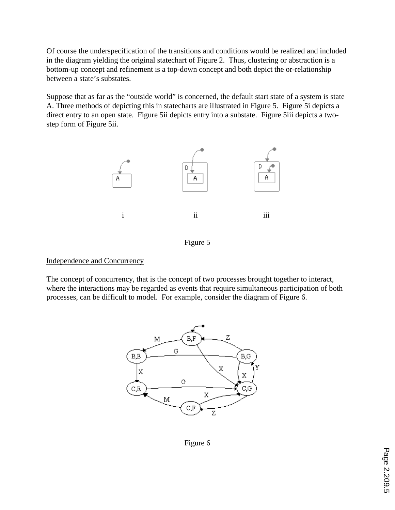Of course the underspecification of the transitions and conditions would be realized and included in the diagram yielding the original statechart of Figure 2. Thus, clustering or abstraction is a bottom-up concept and refinement is a top-down concept and both depict the or-relationship between a state's substates.

Suppose that as far as the "outside world" is concerned, the default start state of a system is state A. Three methods of depicting this in statecharts are illustrated in Figure 5. Figure 5i depicts a direct entry to an open state. Figure 5ii depicts entry into a substate. Figure 5iii depicts a twostep form of Figure 5ii.



Figure 5

#### Independence and Concurrency

The concept of concurrency, that is the concept of two processes brought together to interact, where the interactions may be regarded as events that require simultaneous participation of both processes, can be difficult to model. For example, consider the diagram of Figure 6.



Figure 6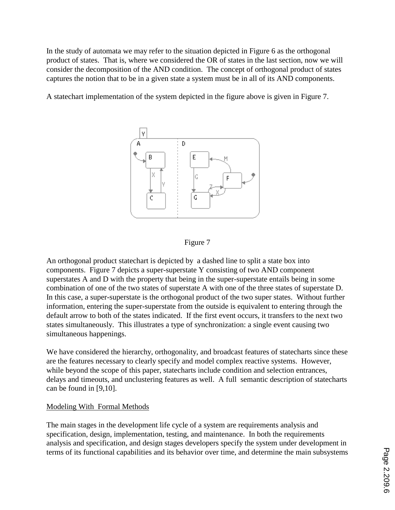In the study of automata we may refer to the situation depicted in Figure 6 as the orthogonal product of states. That is, where we considered the OR of states in the last section, now we will consider the decomposition of the AND condition. The concept of orthogonal product of states captures the notion that to be in a given state a system must be in all of its AND components.

A statechart implementation of the system depicted in the figure above is given in Figure 7.





An orthogonal product statechart is depicted by a dashed line to split a state box into components. Figure 7 depicts a super-superstate Y consisting of two AND component superstates A and D with the property that being in the super-superstate entails being in some combination of one of the two states of superstate A with one of the three states of superstate D. In this case, a super-superstate is the orthogonal product of the two super states. Without further information, entering the super-superstate from the outside is equivalent to entering through the default arrow to both of the states indicated. If the first event occurs, it transfers to the next two states simultaneously. This illustrates a type of synchronization: a single event causing two simultaneous happenings.

We have considered the hierarchy, orthogonality, and broadcast features of statecharts since these are the features necessary to clearly specify and model complex reactive systems. However, while beyond the scope of this paper, statecharts include condition and selection entrances, delays and timeouts, and unclustering features as well. A full semantic description of statecharts can be found in [9,10].

# Modeling With Formal Methods

The main stages in the development life cycle of a system are requirements analysis and specification, design, implementation, testing, and maintenance. In both the requirements analysis and specification, and design stages developers specify the system under development in terms of its functional capabilities and its behavior over time, and determine the main subsystems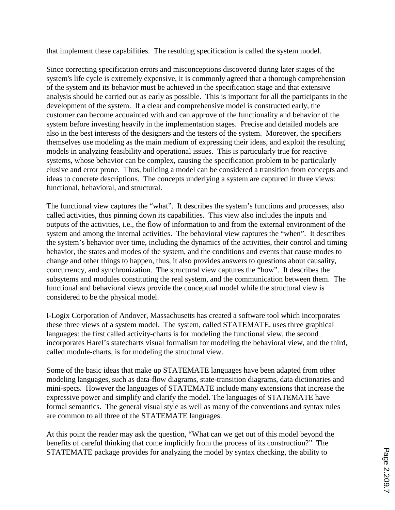that implement these capabilities. The resulting specification is called the system model.

Since correcting specification errors and misconceptions discovered during later stages of the system's life cycle is extremely expensive, it is commonly agreed that a thorough comprehension of the system and its behavior must be achieved in the specification stage and that extensive analysis should be carried out as early as possible. This is important for all the participants in the development of the system. If a clear and comprehensive model is constructed early, the customer can become acquainted with and can approve of the functionality and behavior of the system before investing heavily in the implementation stages. Precise and detailed models are also in the best interests of the designers and the testers of the system. Moreover, the specifiers themselves use modeling as the main medium of expressing their ideas, and exploit the resulting models in analyzing feasibility and operational issues. This is particularly true for reactive systems, whose behavior can be complex, causing the specification problem to be particularly elusive and error prone. Thus, building a model can be considered a transition from concepts and ideas to concrete descriptions. The concepts underlying a system are captured in three views: functional, behavioral, and structural.

The functional view captures the "what". It describes the system's functions and processes, also called activities, thus pinning down its capabilities. This view also includes the inputs and outputs of the activities, i.e., the flow of information to and from the external environment of the system and among the internal activities. The behavioral view captures the "when". It describes the system's behavior over time, including the dynamics of the activities, their control and timing behavior, the states and modes of the system, and the conditions and events that cause modes to change and other things to happen, thus, it also provides answers to questions about causality, concurrency, and synchronization. The structural view captures the "how". It describes the subsytems and modules constituting the real system, and the communication between them. The functional and behavioral views provide the conceptual model while the structural view is considered to be the physical model.

I-Logix Corporation of Andover, Massachusetts has created a software tool which incorporates these three views of a system model. The system, called STATEMATE, uses three graphical languages: the first called activity-charts is for modeling the functional view, the second incorporates Harel's statecharts visual formalism for modeling the behavioral view, and the third, called module-charts, is for modeling the structural view.

Some of the basic ideas that make up STATEMATE languages have been adapted from other modeling languages, such as data-flow diagrams, state-transition diagrams, data dictionaries and mini-specs. However the languages of STATEMATE include many extensions that increase the expressive power and simplify and clarify the model. The languages of STATEMATE have formal semantics. The general visual style as well as many of the conventions and syntax rules are common to all three of the STATEMATE languages.

At this point the reader may ask the question, "What can we get out of this model beyond the benefits of careful thinking that come implicitly from the process of its construction?" The STATEMATE package provides for analyzing the model by syntax checking, the ability to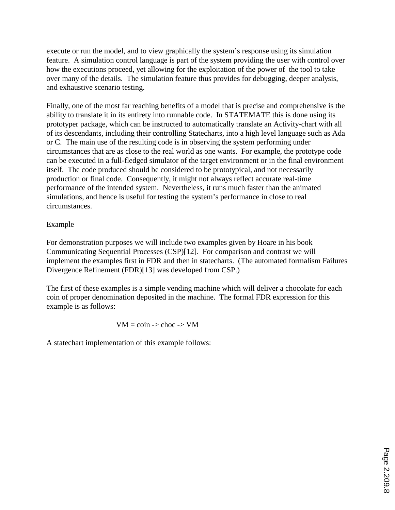execute or run the model, and to view graphically the system's response using its simulation feature. A simulation control language is part of the system providing the user with control over how the executions proceed, yet allowing for the exploitation of the power of the tool to take over many of the details. The simulation feature thus provides for debugging, deeper analysis, and exhaustive scenario testing.

Finally, one of the most far reaching benefits of a model that is precise and comprehensive is the ability to translate it in its entirety into runnable code. In STATEMATE this is done using its prototyper package, which can be instructed to automatically translate an Activity-chart with all of its descendants, including their controlling Statecharts, into a high level language such as Ada or C. The main use of the resulting code is in observing the system performing under circumstances that are as close to the real world as one wants. For example, the prototype code can be executed in a full-fledged simulator of the target environment or in the final environment itself. The code produced should be considered to be prototypical, and not necessarily production or final code. Consequently, it might not always reflect accurate real-time performance of the intended system. Nevertheless, it runs much faster than the animated simulations, and hence is useful for testing the system's performance in close to real circumstances.

# Example

For demonstration purposes we will include two examples given by Hoare in his book Communicating Sequential Processes (CSP)[12]. For comparison and contrast we will implement the examples first in FDR and then in statecharts. (The automated formalism Failures Divergence Refinement (FDR)[13] was developed from CSP.)

The first of these examples is a simple vending machine which will deliver a chocolate for each coin of proper denomination deposited in the machine. The formal FDR expression for this example is as follows:

$$
VM = coin \Rightarrow choc \Rightarrow VM
$$

A statechart implementation of this example follows: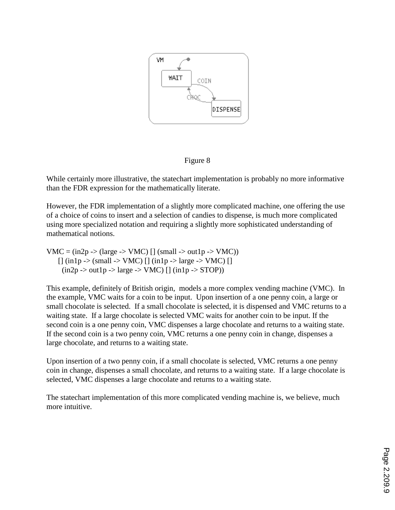

Figure 8

While certainly more illustrative, the statechart implementation is probably no more informative than the FDR expression for the mathematically literate.

However, the FDR implementation of a slightly more complicated machine, one offering the use of a choice of coins to insert and a selection of candies to dispense, is much more complicated using more specialized notation and requiring a slightly more sophisticated understanding of mathematical notions.

VMC =  $(in2p \rightarrow (large \rightarrow VMC)$  [] (small -> out1p -> VMC))  $\lceil \frac{\text{ln1p}}{5} \rceil$  (in  $\lceil \frac{\text{ln1p}}{5} \rceil$  (in  $\lceil \frac{\text{ln1p}}{5} \rceil$  arge -> VMC)  $\lceil \frac{\text{ln1p}}{5} \rceil$  $(in2p \rightarrow out1p \rightarrow large \rightarrow VMC)$  []  $(in1p \rightarrow STOP)$ ]

This example, definitely of British origin, models a more complex vending machine (VMC). In the example, VMC waits for a coin to be input. Upon insertion of a one penny coin, a large or small chocolate is selected. If a small chocolate is selected, it is dispensed and VMC returns to a waiting state. If a large chocolate is selected VMC waits for another coin to be input. If the second coin is a one penny coin, VMC dispenses a large chocolate and returns to a waiting state. If the second coin is a two penny coin, VMC returns a one penny coin in change, dispenses a large chocolate, and returns to a waiting state.

Upon insertion of a two penny coin, if a small chocolate is selected, VMC returns a one penny coin in change, dispenses a small chocolate, and returns to a waiting state. If a large chocolate is selected, VMC dispenses a large chocolate and returns to a waiting state.

The statechart implementation of this more complicated vending machine is, we believe, much more intuitive.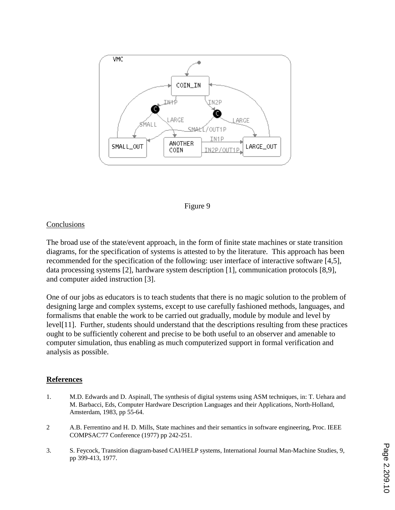

#### Figure 9

#### **Conclusions**

The broad use of the state/event approach, in the form of finite state machines or state transition diagrams, for the specification of systems is attested to by the literature. This approach has been recommended for the specification of the following: user interface of interactive software [4,5], data processing systems [2], hardware system description [1], communication protocols [8,9], and computer aided instruction [3].

One of our jobs as educators is to teach students that there is no magic solution to the problem of designing large and complex systems, except to use carefully fashioned methods, languages, and formalisms that enable the work to be carried out gradually, module by module and level by level[11]. Further, students should understand that the descriptions resulting from these practices ought to be sufficiently coherent and precise to be both useful to an observer and amenable to computer simulation, thus enabling as much computerized support in formal verification and analysis as possible.

#### **References**

- 1. M.D. Edwards and D. Aspinall, The synthesis of digital systems using ASM techniques, in: T. Uehara and M. Barbacci, Eds, Computer Hardware Description Languages and their Applications, North-Holland, Amsterdam, 1983, pp 55-64.
- 2 A.B. Ferrentino and H. D. Mills, State machines and their semantics in software engineering, Proc. IEEE COMPSAC'77 Conference (1977) pp 242-251.
- 3. S. Feycock, Transition diagram-based CAI/HELP systems, International Journal Man-Machine Studies, 9, pp 399-413, 1977.